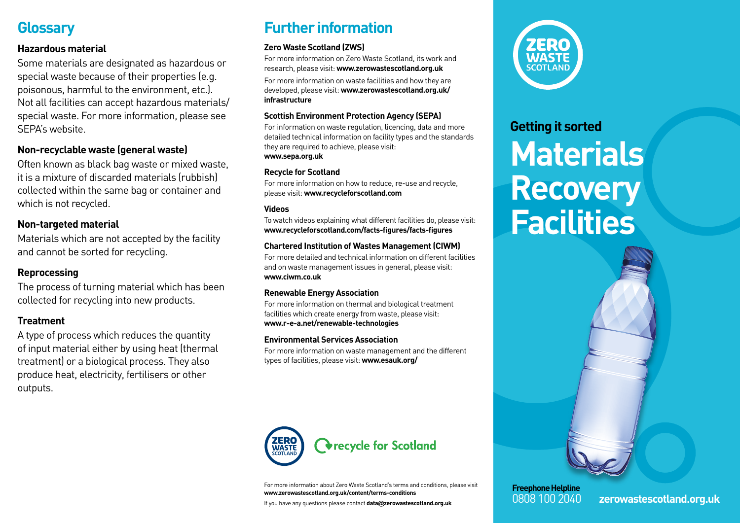# **Glossary**

### **Hazardous material**

Some materials are designated as hazardous or special waste because of their properties (e.g. poisonous, harmful to the environment, etc.). Not all facilities can accept hazardous materials/ special waste. For more information, please see SEPA's website.

### **Non-recyclable waste (general waste)**

Often known as black bag waste or mixed waste, it is a mixture of discarded materials (rubbish) collected within the same bag or container and which is not recycled.

### **Non-targeted material**

Materials which are not accepted by the facility and cannot be sorted for recycling.

### **Reprocessing**

The process of turning material which has been collected for recycling into new products.

### **Treatment**

A type of process which reduces the quantity of input material either by using heat (thermal treatment) or a biological process. They also produce heat, electricity, fertilisers or other outputs.

# **Further information**

#### **Zero Waste Scotland (ZWS)**

For more information on Zero Waste Scotland, its work and research, please visit: **www.zerowastescotland.org.uk**

For more information on waste facilities and how they are developed, please visit: **www.zerowastescotland.org.uk/ infrastructure**

#### **Scottish Environment Protection Agency (SEPA)**

For information on waste regulation, licencing, data and more detailed technical information on facility types and the standards they are required to achieve, please visit: **www.sepa.org.uk**

#### **Recycle for Scotland**

For more information on how to reduce, re-use and recycle, please visit: **www.recycleforscotland.com**

#### **Videos**

To watch videos explaining what different facilities do, please visit: **www.recycleforscotland.com/facts-figures/facts-figures**

#### **Chartered Institution of Wastes Management (CIWM)**

For more detailed and technical information on different facilities and on waste management issues in general, please visit: **www.ciwm.co.uk**

#### **Renewable Energy Association**

For more information on thermal and biological treatment facilities which create energy from waste, please visit: **www.r-e-a.net/renewable-technologies**

#### **Environmental Services Association**

For more information on waste management and the different types of facilities, please visit: **www.esauk.org/**



For more information about Zero Waste Scotland's terms and conditions, please visit **www.zerowastescotland.org.uk/content/terms-conditions**

If you have any questions please contact **data@zerowastescotland.org.uk**



# **Getting it sorted Materials Recovery Facilities**



0808 100 2040 **zerowastescotland.org.uk**